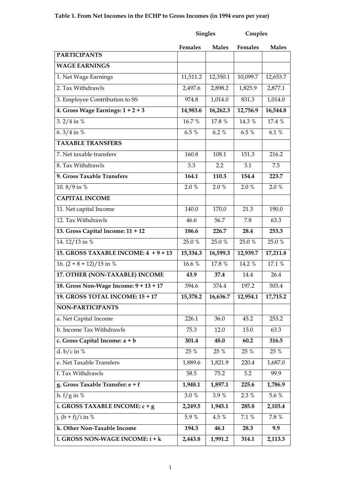# **Table 1. From Net Incomes in the ECHP to Gross Incomes (in 1994 euro per year)**

|                                        | <b>Singles</b>      |                  | Couples        |              |
|----------------------------------------|---------------------|------------------|----------------|--------------|
|                                        | <b>Females</b>      | <b>Males</b>     | <b>Females</b> | <b>Males</b> |
| <b>PARTICIPANTS</b>                    |                     |                  |                |              |
| <b>WAGE EARNINGS</b>                   |                     |                  |                |              |
| 1. Net Wage Earnings                   | 11,511.2            | 12,350.1         | 10,099.7       | 12,653.7     |
| 2. Tax Withdrawls                      | 2,497.6             | 2,898.2          | 1,825.9        | 2,877.1      |
| 3. Employee Contribution to SS         | 974.8               | 1,014.0          | 831.3          | 1,014.0      |
| 4. Gross Wage Earnings: $1 + 2 + 3$    | 14,983.6            | 16,262.3         | 12,756.9       | 16,544.8     |
| 3. $2/4$ in %                          | 16.7%               | 17.8 %           | 14.3 %         | 17.4 %       |
| 6.3/4 in $%$                           | 6.5 %               | 6.2%             | 6.5 %          | 6.1%         |
| <b>TAXABLE TRANSFERS</b>               |                     |                  |                |              |
| 7. Net taxable transfers               | 160.8               | 108.1            | 151.3          | 216.2        |
| 8. Tax Withdrawls                      | 3.3                 | $2.2\phantom{0}$ | 3.1            | 7.5          |
| 9. Gross Taxable Transfers             | 164.1               | 110.3            | 154.4          | 223.7        |
| 10.8/9 in $\frac{8}{9}$                | 2.0%                | 2.0%             | 2.0%           | 2.0 %        |
| <b>CAPITAL INCOME</b>                  |                     |                  |                |              |
| 11. Net capital Income                 | 140.0               | 170.0            | 21.3           | 190.0        |
| 12. Tax Withdrawls                     | 46.6                | 56.7             | 7.8            | 63.3         |
| 13. Gross Capital Income: 11 + 12      | 186.6               | 226.7            | 28.4           | 253.3        |
| 14.12/13 in %                          | 25.0 %              | 25.0 %           | 25.0%          | 25.0 %       |
| 15. GROSS TAXABLE INCOME: 4 + 9 + 13   | 15,334.3            | 16,599.3         | 12,939.7       | 17,211.8     |
| 16. $(2 + 8 + 12)/15$ in %             | $16.\overline{6\%}$ | 17.8 %           | 14.2 %         | 17.1 %       |
| 17. OTHER (NON-TAXABLE) INCOME         | 43.9                | 37.4             | 14.4           | 26.4         |
| 18. Gross Non-Wage Income: 9 + 13 + 17 | 394.6               | 374.4            | 197.2          | 503.4        |
| 19. GROSS TOTAL INCOME: 15 + 17        | 15,378.2            | 16,636.7         | 12,954.1       | 17,715.2     |
| NON-PARTICIPANTS                       |                     |                  |                |              |
| a. Net Capital Income                  | 226.1               | 36.0             | 45.2           | 253.2        |
| b. Income Tax Withdrawls               | 75.3                | 12.0             | 15.0           | 63.3         |
| c. Gross Capital Income: a + b         | 301.4               | 48.0             | 60.2           | 316.5        |
| d. $b/c$ in %                          | 25 %                | 25 %             | 25 %           | 25 %         |
| e. Net Taxable Transfers               | 1,889.6             | 1,821.9          | 220.4          | 1,687.0      |
| f. Tax Withdrawls                      | 58.5                | 75.2             | 5.2            | 99.9         |
| g. Gross Taxable Transfer: e + f       | 1,948.1             | 1,897.1          | 225.6          | 1,786.9      |
| h. $f/g$ in %                          | $3.0\ \%$           | 3.9%             | 2.3 %          | 5.6 %        |
| i. GROSS TAXABLE INCOME: c + g         | 2,249.5             | 1,945.1          | 285.8          | 2,103.4      |
| $\frac{1}{1}$ . (b + f)/i in %         | 5.9 %               | 4.5 %            | 7.1 %          | 7.8 %        |
| k. Other Non-Taxable Income            | 194.3               | 46.1             | 28.3           | 9.9          |
| 1. GROSS NON-WAGE INCOME: i + k        | 2,443.8             | 1,991.2          | 314.1          | 2,113.3      |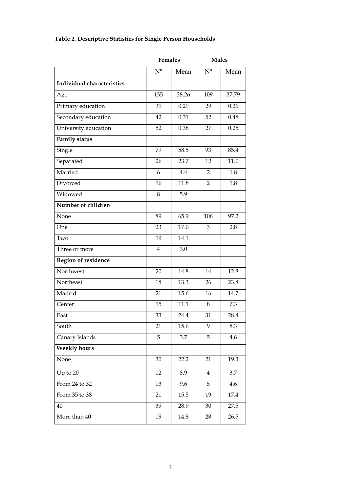|  |  | Table 2. Descriptive Statistics for Single Person Households |
|--|--|--------------------------------------------------------------|
|  |  |                                                              |

|                            |                | <b>Females</b> | <b>Males</b>   |       |  |
|----------------------------|----------------|----------------|----------------|-------|--|
|                            | $N^{o}$        | Mean           | $N^{o}$        | Mean  |  |
| Individual characteristics |                |                |                |       |  |
| Age                        | 135            | 38.26          | 109            | 37.79 |  |
| Primary education          | 39             | 0.29           | 29             | 0.26  |  |
| Secondary education        | 42             | 0.31           | 52             | 0.48  |  |
| University education       | 52             | 0.38           | 27             | 0.25  |  |
| <b>Family status</b>       |                |                |                |       |  |
| Single                     | 79             | 58.5           | 93             | 85.4  |  |
| Separated                  | 26             | 23.7           | 12             | 11.0  |  |
| Married                    | 6              | 4.4            | 2              | 1.8   |  |
| Divorced                   | 16             | 11.8           | 2              | 1.8   |  |
| Widowed                    | 8              | 5.9            |                |       |  |
| Number of children         |                |                |                |       |  |
| None                       | 89             | 65.9           | 106            | 97.2  |  |
| One                        | 23             | 17.0           | 3              | 2.8   |  |
| Two                        | 19             | 14.1           |                |       |  |
| Three or more              | $\overline{4}$ | 3.0            |                |       |  |
| Region of residence        |                |                |                |       |  |
| Northwest                  | 20             | 14.8           | 14             | 12.8  |  |
| Northeast                  | 18             | 13.3           | 26             | 23.8  |  |
| Madrid                     | 21             | 15.6           | 16             | 14.7  |  |
| Center                     | 15             | 11.1           | 8              | 7.3   |  |
| East                       | 33             | 24.4           | 31             | 28.4  |  |
| South                      | 21             | 15.6           | 9              | 8.3   |  |
| Canary Islands             | 5              | 3.7            | 5              | 4.6   |  |
| <b>Weekly hours</b>        |                |                |                |       |  |
| None                       | 30             | 22.2           | 21             | 19.3  |  |
| Up to $20$                 | 12             | 8.9            | $\overline{4}$ | 3.7   |  |
| From 24 to 32              | 13             | 9.6            | 5              | 4.6   |  |
| From 35 to 38              | 21             | 15.5           | 19             | 17.4  |  |
| 40                         | 39             | 28.9           | 30             | 27.5  |  |
| More than 40               | 19             | 14.8           | 28             | 26.5  |  |
|                            |                |                |                |       |  |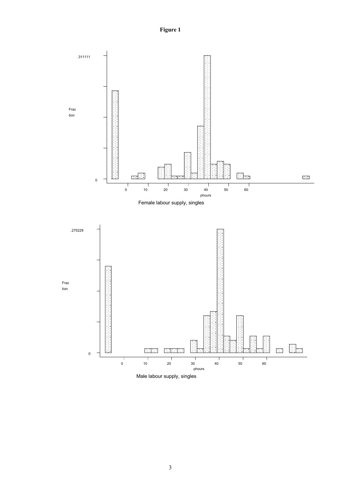**Figure 1** 

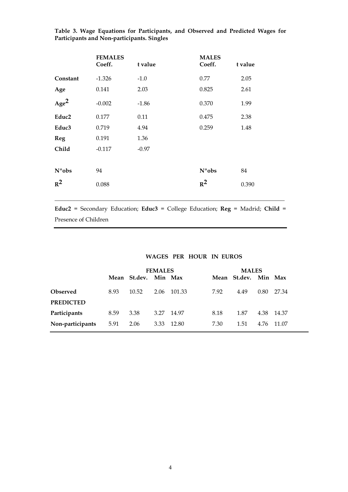|                   | <b>FEMALES</b><br>Coeff. | t value | <b>MALES</b><br>Coeff. | t value |
|-------------------|--------------------------|---------|------------------------|---------|
| Constant          | $-1.326$                 | $-1.0$  | 0.77                   | 2.05    |
| Age               | 0.141                    | 2.03    | 0.825                  | 2.61    |
| Age <sup>2</sup>  | $-0.002$                 | $-1.86$ | 0.370                  | 1.99    |
| Educ <sub>2</sub> | 0.177                    | 0.11    | 0.475                  | 2.38    |
| Educ3             | 0.719                    | 4.94    | 0.259                  | 1.48    |
| <b>Reg</b>        | 0.191                    | 1.36    |                        |         |
| Child             | $-0.117$                 | $-0.97$ |                        |         |
| $N^{\circ}$ obs   | 94                       |         | $N^{\circ}$ obs        | 84      |
| $R^2$             | 0.088                    |         | $R^2$                  | 0.390   |

**Table 3. Wage Equations for Participants, and Observed and Predicted Wages for Participants and Non-participants. Singles** 

**Educ2** = Secondary Education; **Educ3** = College Education; **Reg** = Madrid; **Child** = Presence of Children

\_\_\_\_\_\_\_\_\_\_\_\_\_\_\_\_\_\_\_\_\_\_\_\_\_\_\_\_\_\_\_\_\_\_\_\_\_\_\_\_\_\_\_\_\_\_\_\_\_\_\_\_\_\_\_\_\_\_\_\_\_\_\_\_\_\_\_\_\_\_\_\_\_\_\_\_\_\_

#### **WAGES PER HOUR IN EUROS**

|                  |      | <b>FEMALES</b>       |      |        | <b>MALES</b> |                      |      |            |
|------------------|------|----------------------|------|--------|--------------|----------------------|------|------------|
|                  |      | Mean St.dev. Min Max |      |        |              | Mean St.dev. Min Max |      |            |
| Observed         | 8.93 | 10.52                | 2.06 | 101.33 | 7.92         | 4.49                 | 0.80 | 27.34      |
| <b>PREDICTED</b> |      |                      |      |        |              |                      |      |            |
| Participants     | 8.59 | 3.38                 | 3.27 | 14.97  | 8.18         | 1.87                 |      | 4.38 14.37 |
| Non-participants | 5.91 | 2.06                 | 3.33 | 12.80  | 7.30         | 1.51                 | 4.76 | 11.07      |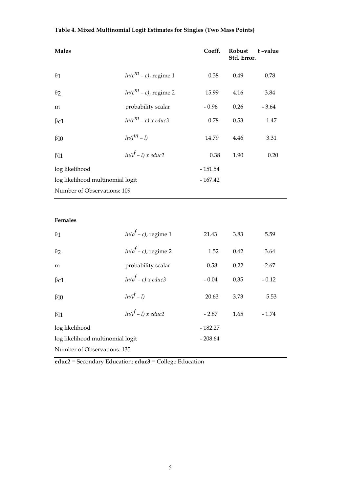# **Table 4. Mixed Multinomial Logit Estimates for Singles (Two Mass Points)**

| <b>Males</b>                     |                              | Coeff.    | Robust<br>Std. Error. | t-value |
|----------------------------------|------------------------------|-----------|-----------------------|---------|
| $\theta$ 1                       | $ln(c^{m} - c)$ , regime 1   | 0.38      | 0.49                  | 0.78    |
| $\theta$ 2                       | $ln(c^{m} - c)$ , regime 2   | 15.99     | 4.16                  | 3.84    |
| m                                | probability scalar           | $-0.96$   | 0.26                  | $-3.64$ |
| $\beta$ c1                       | $ln(c^m - c)$ x educ3        | 0.78      | 0.53                  | 1.47    |
| $\beta$ 10                       | $ln(l^m - l)$                | 14.79     | 4.46                  | 3.31    |
| $\beta$ 11                       | $ln(l^f - l)$ x educ2        | 0.38      | 1.90                  | 0.20    |
| log likelihood                   |                              | $-151.54$ |                       |         |
| log likelihood multinomial logit |                              | $-167.42$ |                       |         |
| Number of Observations: 109      |                              |           |                       |         |
|                                  |                              |           |                       |         |
| Females                          |                              |           |                       |         |
| $\theta$ 1                       | $ln(c^f - c)$ , regime 1     | 21.43     | 3.83                  | 5.59    |
| $\theta$ 2                       | $ln(c^f - c)$ , regime 2     | 1.52      | 0.42                  | 3.64    |
| m                                | probability scalar           | 0.58      | 0.22                  | 2.67    |
| $\beta$ c1                       | $ln(c^f - c)$ x educ3        | $-0.04$   | 0.35                  | $-0.12$ |
| $\beta$ 10                       | $ln(l^f - l)$                | 20.63     | 3.73                  | 5.53    |
| $\beta$ 11                       | $ln(l^{\text{f}}-l)$ x educ2 | $-2.87$   | 1.65                  | $-1.74$ |
| log likelihood                   |                              | $-182.27$ |                       |         |
| log likelihood multinomial logit |                              | $-208.64$ |                       |         |

Number of Observations: 135

**educ2** = Secondary Education; **educ3** = College Education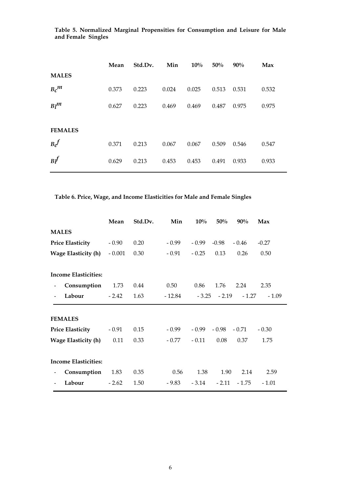|                | Mean  | Std.Dv. | Min   | $10\%$ | 50%   | 90%   | Max   |
|----------------|-------|---------|-------|--------|-------|-------|-------|
| <b>MALES</b>   |       |         |       |        |       |       |       |
| $B_c^{\mu}$    | 0.373 | 0.223   | 0.024 | 0.025  | 0.513 | 0.531 | 0.532 |
| $Bl^m$         | 0.627 | 0.223   | 0.469 | 0.469  | 0.487 | 0.975 | 0.975 |
|                |       |         |       |        |       |       |       |
| <b>FEMALES</b> |       |         |       |        |       |       |       |
| $B_c$          | 0.371 | 0.213   | 0.067 | 0.067  | 0.509 | 0.546 | 0.547 |
| $B\ell$        | 0.629 | 0.213   | 0.453 | 0.453  | 0.491 | 0.933 | 0.933 |

**Table 5. Normalized Marginal Propensities for Consumption and Leisure for Male and Female Singles** 

**Table 6. Price, Wage, and Income Elasticities for Male and Female Singles** 

|                                             | Mean     | Std.Dv. | Min     | 10%     | 50%            | 90%     | Max     |
|---------------------------------------------|----------|---------|---------|---------|----------------|---------|---------|
| <b>MALES</b>                                |          |         |         |         |                |         |         |
| <b>Price Elasticity</b>                     | $-0.90$  | 0.20    | $-0.99$ | $-0.99$ | $-0.98$        | $-0.46$ | $-0.27$ |
| <b>Wage Elasticity (h)</b>                  | $-0.001$ | 0.30    | $-0.91$ | $-0.25$ | 0.13           | 0.26    | 0.50    |
| <b>Income Elasticities:</b>                 |          |         |         |         |                |         |         |
| Consumption<br>$\qquad \qquad \blacksquare$ | 1.73     | 0.44    | 0.50    | 0.86    | 1.76           | 2.24    | 2.35    |
| Labour<br>$\blacksquare$                    | $-2.42$  | 1.63    | - 12.84 |         | $-3.25 - 2.19$ | $-1.27$ | $-1.09$ |
| <b>FEMALES</b>                              |          |         |         |         |                |         |         |
| <b>Price Elasticity</b>                     | $-0.91$  | 0.15    | $-0.99$ | - 0.99  | - 0.98         | $-0.71$ | $-0.30$ |
| <b>Wage Elasticity (h)</b>                  | 0.11     | 0.33    | - 0.77  | $-0.11$ | 0.08           | 0.37    | 1.75    |
| <b>Income Elasticities:</b>                 |          |         |         |         |                |         |         |
| Consumption<br>$\qquad \qquad \blacksquare$ | 1.83     | 0.35    | 0.56    | 1.38    | 1.90           | 2.14    | 2.59    |
| Labour                                      | $-2.62$  | 1.50    | - 9.83  | $-3.14$ | $-2.11$        | $-1.75$ | $-1.01$ |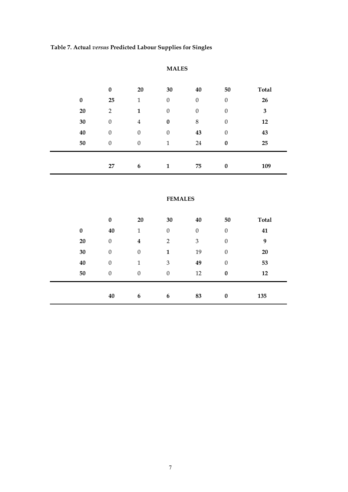**Table 7. Actual** *versus* **Predicted Labour Supplies for Singles** 

|          | $\bf{0}$         | 20               | 30               | 40               | 50               | <b>Total</b> |
|----------|------------------|------------------|------------------|------------------|------------------|--------------|
| $\bf{0}$ | 25               | 1                | $\boldsymbol{0}$ | $\boldsymbol{0}$ | $\boldsymbol{0}$ | 26           |
| 20       | $\overline{2}$   | 1                | $\boldsymbol{0}$ | $\boldsymbol{0}$ | $\boldsymbol{0}$ | 3            |
| 30       | $\theta$         | 4                | $\boldsymbol{0}$ | 8                | $\theta$         | 12           |
| 40       | $\boldsymbol{0}$ | $\boldsymbol{0}$ | $\theta$         | 43               | $\boldsymbol{0}$ | 43           |
| 50       | $\boldsymbol{0}$ | $\boldsymbol{0}$ | 1                | 24               | $\bf{0}$         | 25           |
|          |                  |                  |                  |                  |                  |              |
|          | 27               | 6                | 1                | 75               | $\boldsymbol{0}$ | 109          |

# **MALES**

# **FEMALES**

|                  | $\bf{0}$         | 20               | 30               | 40               | 50               | <b>Total</b> |
|------------------|------------------|------------------|------------------|------------------|------------------|--------------|
| $\boldsymbol{0}$ | 40               | $\mathbf 1$      | $\boldsymbol{0}$ | $\boldsymbol{0}$ | $\boldsymbol{0}$ | 41           |
| 20               | $\boldsymbol{0}$ | $\boldsymbol{4}$ | $\overline{2}$   | 3                | $\boldsymbol{0}$ | 9            |
| 30               | $\boldsymbol{0}$ | $\boldsymbol{0}$ | 1                | 19               | $\boldsymbol{0}$ | 20           |
| 40               | $\boldsymbol{0}$ | 1                | $\mathfrak{Z}$   | 49               | $\boldsymbol{0}$ | 53           |
| 50               | $\boldsymbol{0}$ | $\boldsymbol{0}$ | $\boldsymbol{0}$ | 12               | $\bf{0}$         | 12           |
|                  |                  |                  |                  |                  |                  |              |
|                  | 40               | 6                | 6                | 83               | $\boldsymbol{0}$ | 135          |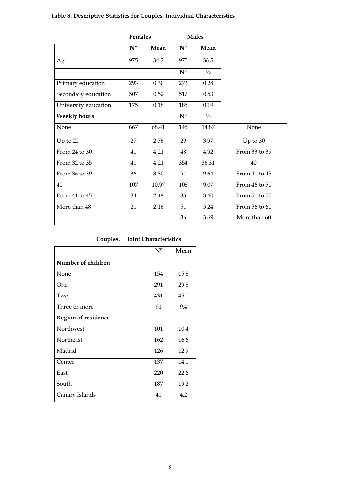# **Table 8. Descriptive Statistics for Couples. Individual Characteristics**

|                      | Females        |       |                         | <b>Males</b>  |               |
|----------------------|----------------|-------|-------------------------|---------------|---------------|
|                      | $N^{\text{o}}$ | Mean  | $\mathbf{N}^{\text{o}}$ | Mean          |               |
| Age                  | 975            | 34.2  | 975                     | 36.5          |               |
|                      |                |       | $N^{\text{o}}$          | $\frac{0}{0}$ |               |
| Primary education    | 293            | 0.30  | 273                     | 0.28          |               |
| Secondary education  | 507            | 0.52  | 517                     | 0.53          |               |
| University education | 175            | 0.18  | 185                     | 0.19          |               |
| <b>Weekly hours</b>  |                |       | $\overline{N^{\circ}}$  | $\frac{0}{0}$ |               |
| None                 | 667            | 68.41 | 145                     | 14.87         | None          |
| Up to 20             | 27             | 2.76  | 29                      | 3.97          | Up to $30$    |
| From $24$ to $30$    | 41             | 4.21  | 48                      | 4.92          | From 33 to 39 |
| From 32 to 35        | 41             | 4.21  | 354                     | 36.31         | 40            |
| From 36 to 39        | 36             | 3.80  | 94                      | 9.64          | From 41 to 45 |
| 40                   | 107            | 10.97 | 108                     | 9.07          | From 46 to 50 |
| From 41 to 45        | 34             | 2.48  | 33                      | 3.40          | From 51 to 55 |
| More than 48         | 21             | 2.16  | 51                      | 5.24          | From 56 to 60 |
|                      |                |       | 36                      | 3.69          | More than 60  |

| Couples. | <b>Joint Characteristics</b> |
|----------|------------------------------|
|----------|------------------------------|

|                            | $N^{o}$ | Mean |
|----------------------------|---------|------|
| Number of children         |         |      |
| None                       | 154     | 15.8 |
| One                        | 291     | 29.8 |
| Two                        | 431     | 45.0 |
| Three or more              | 91      | 9.4  |
| <b>Region of residence</b> |         |      |
| Northwest                  | 101     | 10.4 |
| Northeast                  | 162     | 16.6 |
| Madrid                     | 126     | 12.9 |
| Center                     | 137     | 14.1 |
| East                       | 220     | 22.6 |
| South                      | 187     | 19.2 |
| Canary Islands             | 41      | 4.2  |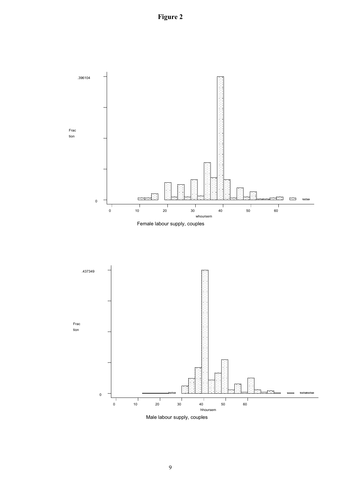**Figure 2** 



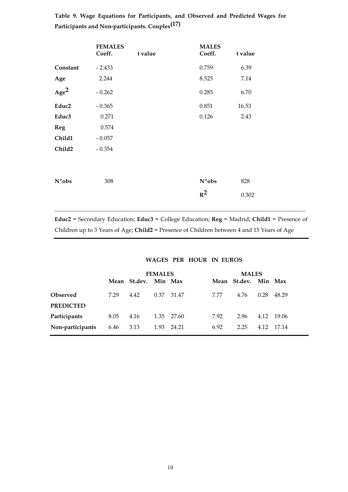|                   | <b>FEMALES</b><br>Coeff. | t value | <b>MALES</b><br>Coeff. | t value |
|-------------------|--------------------------|---------|------------------------|---------|
| Constant          | $-2.433$                 |         | 0.759                  | 6.39    |
| Age               | 2.244                    |         | 8.525                  | 7.14    |
| Age <sup>2</sup>  | $-0.262$                 |         | 0.285                  | 6.70    |
| Educ <sub>2</sub> | $-0.365$                 |         | 0.851                  | 16.53   |
| Educ3             | 0.271                    |         | 0.126                  | 2.43    |
| <b>Reg</b>        | 0.574                    |         |                        |         |
| Child1            | $-0.057$                 |         |                        |         |
| Child2            | $-0.354$                 |         |                        |         |
|                   |                          |         |                        |         |
| N° <sub>obs</sub> | 308                      |         | $N^{\circ}$ obs        | 828     |
|                   |                          |         | $R^2$                  | 0.302   |
|                   |                          |         |                        |         |

**Table 9. Wage Equations for Participants, and Observed and Predicted Wages for Participants and Non-participants. Couples(17)** 

**Educ2** = Secondary Education; **Educ3** = College Education; **Reg** = Madrid; **Child1** = Presence of Children up to 3 Years of Age; **Child2** = Presence of Children between 4 and 15 Years of Age

# **WAGES PER HOUR IN EUROS**

|                  | <b>FEMALES</b> |                      |      |            | <b>MALES</b> |                      |      |         |
|------------------|----------------|----------------------|------|------------|--------------|----------------------|------|---------|
|                  |                | Mean St.dev. Min Max |      |            |              | Mean St.dev. Min Max |      |         |
| Observed         | 7.29           | 4.42                 | 0.37 | 31.47      | 7.77         | 4.76                 | 0.28 | 48.29   |
| <b>PREDICTED</b> |                |                      |      |            |              |                      |      |         |
| Participants     | 8.05           | 4.16                 |      | 1.35 27.60 | 7.92         | 2.96                 | 4.12 | - 19.06 |
| Non-participants | 6.46           | 3.13                 | 1.93 | 24.21      | 6.92         | 2.25                 | 4.12 | 17.14   |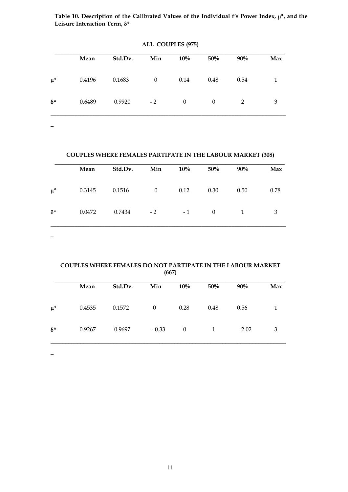**Table 10. Description of the Calibrated Values of the Individual f's Power Index, \*, and the**  Leisure Interaction Term, δ\*

|            | Mean   | Std.Dv. | Min          | $10\%$           | 50%      | 90%  | Max |
|------------|--------|---------|--------------|------------------|----------|------|-----|
| $\mu^*$    | 0.4196 | 0.1683  | $\mathbf{0}$ | 0.14             | 0.48     | 0.54 | 1   |
| $\delta^*$ | 0.6489 | 0.9920  | $-2$         | $\boldsymbol{0}$ | $\theta$ | 2    | 3   |

**ALL COUPLES (975)** 

#### **COUPLES WHERE FEMALES PARTIPATE IN THE LABOUR MARKET (308)**

|            | Mean   | Std.Dv. | Min      | $10\%$ | 50%      | 90%          | Max  |
|------------|--------|---------|----------|--------|----------|--------------|------|
| $\mu^*$    | 0.3145 | 0.1516  | $\theta$ | 0.12   | 0.30     | 0.50         | 0.78 |
| $\delta^*$ | 0.0472 | 0.7434  | $-2$     | $-1$   | $\Omega$ | $\mathbf{1}$ | 3    |

 $\overline{\phantom{0}}$ 

#### **COUPLES WHERE FEMALES DO NOT PARTIPATE IN THE LABOUR MARKET (667)**

|            | Mean   | Std.Dv. | Min      | 10%      | 50%          | 90%  | Max |
|------------|--------|---------|----------|----------|--------------|------|-----|
| $\mu^*$    | 0.4535 | 0.1572  | $\theta$ | 0.28     | 0.48         | 0.56 |     |
| $\delta^*$ | 0.9267 | 0.9697  | $-0.33$  | $\theta$ | $\mathbf{1}$ | 2.02 | 3   |

 $\overline{a}$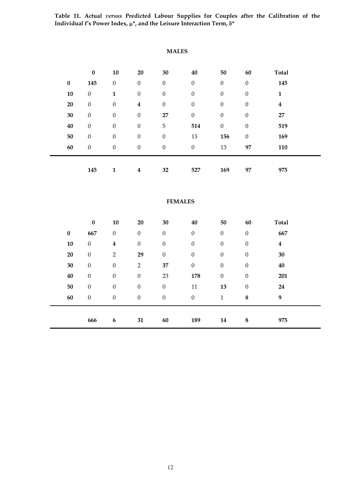**Table 11. Actual** *versus* **Predicted Labour Supplies for Couples after the Calibration of the**  Individual f's Power Index,  $\mu^*$ , and the Leisure Interaction Term,  $\delta^*$ 

|           | $\pmb{0}$        | 10                      | 20               | 30               | 40               | 50               | 60               | <b>Total</b>            |  |
|-----------|------------------|-------------------------|------------------|------------------|------------------|------------------|------------------|-------------------------|--|
| $\pmb{0}$ | 145              | $\boldsymbol{0}$        | $\boldsymbol{0}$ | $\boldsymbol{0}$ | $\boldsymbol{0}$ | $\boldsymbol{0}$ | $\boldsymbol{0}$ | 145                     |  |
| 10        | $\boldsymbol{0}$ | $\mathbf{1}$            | $\boldsymbol{0}$ | $\boldsymbol{0}$ | $\boldsymbol{0}$ | $\boldsymbol{0}$ | $\boldsymbol{0}$ | $\mathbf{1}$            |  |
| 20        | $\boldsymbol{0}$ | $\boldsymbol{0}$        | $\bf{4}$         | $\boldsymbol{0}$ | $\boldsymbol{0}$ | $\boldsymbol{0}$ | $\boldsymbol{0}$ | $\overline{\mathbf{4}}$ |  |
| 30        | $\boldsymbol{0}$ | $\boldsymbol{0}$        | $\boldsymbol{0}$ | 27               | $\boldsymbol{0}$ | $\boldsymbol{0}$ | $\boldsymbol{0}$ | 27                      |  |
| 40        | $\boldsymbol{0}$ | $\boldsymbol{0}$        | $\boldsymbol{0}$ | 5                | 514              | $\boldsymbol{0}$ | $\boldsymbol{0}$ | 519                     |  |
| 50        | $\boldsymbol{0}$ | $\boldsymbol{0}$        | $\boldsymbol{0}$ | $\boldsymbol{0}$ | 13               | 156              | $\boldsymbol{0}$ | 169                     |  |
| 60        | $\boldsymbol{0}$ | $\boldsymbol{0}$        | $\boldsymbol{0}$ | $\boldsymbol{0}$ | $\boldsymbol{0}$ | 13               | 97               | 110                     |  |
|           |                  |                         |                  |                  |                  |                  |                  |                         |  |
|           | 145              | $\mathbf{1}$            | $\boldsymbol{4}$ | 32               | 527              | 169              | 97               | 975                     |  |
|           |                  |                         |                  |                  |                  |                  |                  |                         |  |
|           |                  |                         |                  |                  | <b>FEMALES</b>   |                  |                  |                         |  |
|           |                  |                         |                  |                  |                  |                  |                  |                         |  |
|           | $\pmb{0}$        | 10                      | 20               | 30               | 40               | 50               | 60               | <b>Total</b>            |  |
| $\pmb{0}$ | 667              | $\boldsymbol{0}$        | $\boldsymbol{0}$ | $\boldsymbol{0}$ | $\boldsymbol{0}$ | $\boldsymbol{0}$ | $\boldsymbol{0}$ | 667                     |  |
| 10        | $\boldsymbol{0}$ | $\overline{\mathbf{4}}$ | $\mathbf{0}$     | $\boldsymbol{0}$ | $\mathbf{0}$     | $\boldsymbol{0}$ | $\boldsymbol{0}$ | $\overline{\mathbf{4}}$ |  |
| 20        | $\boldsymbol{0}$ | $\overline{2}$          | 29               | $\boldsymbol{0}$ | $\boldsymbol{0}$ | $\boldsymbol{0}$ | $\boldsymbol{0}$ | 30                      |  |
| 30        | $\boldsymbol{0}$ | $\boldsymbol{0}$        | $\overline{2}$   | 37               | $\boldsymbol{0}$ | $\mathbf{0}$     | $\boldsymbol{0}$ | 40                      |  |
| 40        | $\boldsymbol{0}$ | $\boldsymbol{0}$        | $\boldsymbol{0}$ | 23               | 178              | $\boldsymbol{0}$ | $\boldsymbol{0}$ | 201                     |  |
| 50        | $\boldsymbol{0}$ | $\boldsymbol{0}$        | $\boldsymbol{0}$ | $\boldsymbol{0}$ | 11               | 13               | $\boldsymbol{0}$ | 24                      |  |
| 60        | $\boldsymbol{0}$ | $\boldsymbol{0}$        | $\boldsymbol{0}$ | $\boldsymbol{0}$ | $\boldsymbol{0}$ | $\mathbf{1}$     | $\bf 8$          | $\boldsymbol{9}$        |  |
|           |                  |                         |                  |                  |                  |                  |                  |                         |  |
|           | 666              | $\boldsymbol{6}$        | 31               | 60               | 189              | 14               | ${\bf 8}$        | 975                     |  |

 **MALES**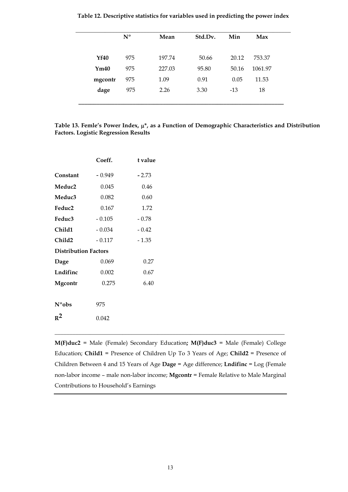|             | $N^{\text{o}}$ | Mean   | Std.Dv. | Min   | Max     |  |
|-------------|----------------|--------|---------|-------|---------|--|
| <b>Yf40</b> | 975            | 197.74 | 50.66   | 20.12 | 753.37  |  |
| Ym40        | 975            | 227.03 | 95.80   | 50.16 | 1061.97 |  |
| mgcontr     | 975            | 1.09   | 0.91    | 0.05  | 11.53   |  |
| dage        | 975            | 2.26   | 3.30    | $-13$ | 18      |  |
|             |                |        |         |       |         |  |

**Table 12. Descriptive statistics for variables used in predicting the power index** 

**Table 13. Femle's Power Index, \*, as a Function of Demographic Characteristics and Distribution Factors. Logistic Regression Results**

|                             | Coeff.   | t value |
|-----------------------------|----------|---------|
| Constant                    | $-0.949$ | $-2.73$ |
| Meduc2                      | 0.045    | 0.46    |
| Meduc3                      | 0.082    | 0.60    |
| Feduc2                      | 0.167    | 1.72    |
| Feduc3                      | $-0.105$ | $-0.78$ |
| Child1                      | $-0.034$ | $-0.42$ |
| Child2                      | $-0.117$ | $-1.35$ |
| <b>Distribution Factors</b> |          |         |
| Dage                        | 0.069    | 0.27    |
| Lndifinc                    | 0.002    | 0.67    |
| Mgcontr                     | 0.275    | 6.40    |
|                             |          |         |
| $N^{\circ}$ obs             | 975      |         |
| $R^2$                       | 0.042    |         |

**M(F)duc2** = Male (Female) Secondary Education**; M(F)duc3** = Male (Female) College Education; **Child1** = Presence of Children Up To 3 Years of Age; **Child2** = Presence of Children Between 4 and 15 Years of Age **Dage** = Age difference; **Lndifinc** = Log (Female non-labor income – male non-labor income; **Mgcontr** = Female Relative to Male Marginal Contributions to Household's Earnings

\_\_\_\_\_\_\_\_\_\_\_\_\_\_\_\_\_\_\_\_\_\_\_\_\_\_\_\_\_\_\_\_\_\_\_\_\_\_\_\_\_\_\_\_\_\_\_\_\_\_\_\_\_\_\_\_\_\_\_\_\_\_\_\_\_\_\_\_\_\_\_\_\_\_\_\_\_\_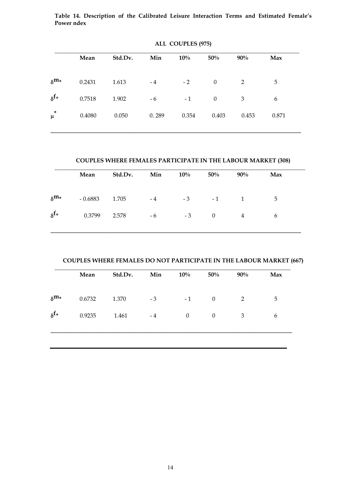**Table 14. Description of the Calibrated Leisure Interaction Terms and Estimated Female's Power ndex** 

|                         | Mean   | Std.Dv. | Min   | 10%   | 50%          | 90%   | Max   |
|-------------------------|--------|---------|-------|-------|--------------|-------|-------|
| $\delta^{\mathbf{m}_*}$ | 0.2431 | 1.613   | $-4$  | $-2$  | $\mathbf{0}$ | 2     | 5     |
| $\delta^{f*}$           | 0.7518 | 1.902   | $-6$  | $-1$  | $\mathbf{0}$ | 3     | 6     |
| $\ast$<br>μ             | 0.4080 | 0.050   | 0.289 | 0.354 | 0.403        | 0.453 | 0.871 |

**ALL COUPLES (975)** 

# **COUPLES WHERE FEMALES PARTICIPATE IN THE LABOUR MARKET (308)**

|                         | Mean      | Std.Dv. | Min  | $10\%$ | 50%            | $90\%$ | Max |  |
|-------------------------|-----------|---------|------|--------|----------------|--------|-----|--|
| $\delta^{\text{m}_{*}}$ | $-0.6883$ | 1.705   | $-4$ |        | $-3$ $-1$ $1$  |        | 5   |  |
| $\delta^{f*}$           | 0.3799    | 2.578   | $-6$ | $-3$   | $\overline{0}$ | 4      | 6   |  |

**COUPLES WHERE FEMALES DO NOT PARTICIPATE IN THE LABOUR MARKET (667)** 

|               | Mean   | Std.Dv. | Min  | 10%              | 50%          | $90\%$ | Max |
|---------------|--------|---------|------|------------------|--------------|--------|-----|
| $\delta^{m*}$ | 0.6732 | 1.370   | $-3$ | $-1$             | $\mathbf{0}$ | 2      | 5   |
| $\delta^{f*}$ | 0.9235 | 1.461   | $-4$ | $\boldsymbol{0}$ | $\mathbf{0}$ | 3      | 6   |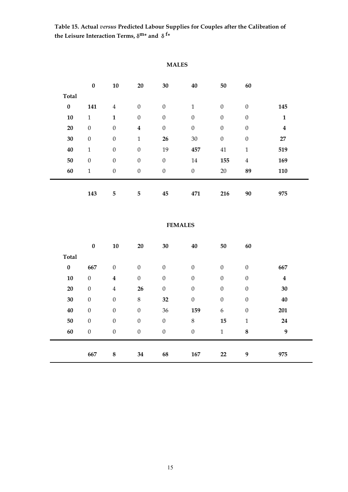**Table 15. Actual** *versus* **Predicted Labour Supplies for Couples after the Calibration of** the Leisure Interaction Terms,  $\delta^{\mathbf{m}*}$  and  $\delta^{\mathbf{f}*}$ 

## **MALES**

|              | $\pmb{0}$        | 10               | 20               | 30               | 40               | 50               | 60               |                  |
|--------------|------------------|------------------|------------------|------------------|------------------|------------------|------------------|------------------|
| <b>Total</b> |                  |                  |                  |                  |                  |                  |                  |                  |
| $\pmb{0}$    | 141              | $\overline{4}$   | $\boldsymbol{0}$ | $\boldsymbol{0}$ | $\mathbf 1$      | $\boldsymbol{0}$ | $\boldsymbol{0}$ | 145              |
| 10           | $\mathbf{1}$     | $\mathbf{1}$     | $\boldsymbol{0}$ | $\boldsymbol{0}$ | $\boldsymbol{0}$ | $\boldsymbol{0}$ | $\boldsymbol{0}$ | $\mathbf{1}$     |
| 20           | $\boldsymbol{0}$ | $\boldsymbol{0}$ | $\boldsymbol{4}$ | $\boldsymbol{0}$ | $\boldsymbol{0}$ | $\boldsymbol{0}$ | $\theta$         | $\boldsymbol{4}$ |
| 30           | $\boldsymbol{0}$ | $\boldsymbol{0}$ | $\mathbf{1}$     | 26               | $30\,$           | $\boldsymbol{0}$ | $\theta$         | 27               |
| 40           | $\mathbf{1}$     | $\boldsymbol{0}$ | $\boldsymbol{0}$ | 19               | 457              | 41               | 1                | 519              |
| 50           | $\boldsymbol{0}$ | $\boldsymbol{0}$ | $\boldsymbol{0}$ | $\boldsymbol{0}$ | $14\,$           | 155              | $\overline{4}$   | 169              |
| 60           | $\mathbf{1}$     | $\boldsymbol{0}$ | $\boldsymbol{0}$ | $\boldsymbol{0}$ | $\boldsymbol{0}$ | 20               | 89               | 110              |
|              |                  |                  |                  |                  |                  |                  |                  |                  |
|              | 143              | 5                | 5                | 45               | 471              | 216              | 90               | 975              |

## **FEMALES**

|              | $\pmb{0}$        | 10               | 20               | 30               | 40               | 50               | 60               |                  |
|--------------|------------------|------------------|------------------|------------------|------------------|------------------|------------------|------------------|
| <b>Total</b> |                  |                  |                  |                  |                  |                  |                  |                  |
| $\pmb{0}$    | 667              | $\boldsymbol{0}$ | $\boldsymbol{0}$ | $\boldsymbol{0}$ | $\boldsymbol{0}$ | $\boldsymbol{0}$ | $\boldsymbol{0}$ | 667              |
| ${\bf 10}$   | $\boldsymbol{0}$ | $\boldsymbol{4}$ | $\boldsymbol{0}$ | $\boldsymbol{0}$ | $\boldsymbol{0}$ | $\boldsymbol{0}$ | $\boldsymbol{0}$ | $\boldsymbol{4}$ |
| $20\,$       | $\boldsymbol{0}$ | $\overline{4}$   | 26               | $\boldsymbol{0}$ | $\boldsymbol{0}$ | $\boldsymbol{0}$ | $\boldsymbol{0}$ | 30               |
| $30\,$       | $\boldsymbol{0}$ | $\boldsymbol{0}$ | $\,8\,$          | 32               | $\boldsymbol{0}$ | $\boldsymbol{0}$ | $\boldsymbol{0}$ | 40               |
| 40           | $\boldsymbol{0}$ | $\boldsymbol{0}$ | $\boldsymbol{0}$ | 36               | 159              | $\boldsymbol{6}$ | $\boldsymbol{0}$ | 201              |
| 50           | $\boldsymbol{0}$ | $\boldsymbol{0}$ | $\boldsymbol{0}$ | $\boldsymbol{0}$ | $\,8\,$          | 15               | 1                | 24               |
| 60           | $\boldsymbol{0}$ | $\boldsymbol{0}$ | $\boldsymbol{0}$ | $\boldsymbol{0}$ | $\boldsymbol{0}$ | $\mathbf{1}$     | $\boldsymbol{8}$ | 9                |
|              |                  |                  |                  |                  |                  |                  |                  |                  |
|              | 667              | $\bf 8$          | 34               | 68               | 167              | 22               | 9                | 975              |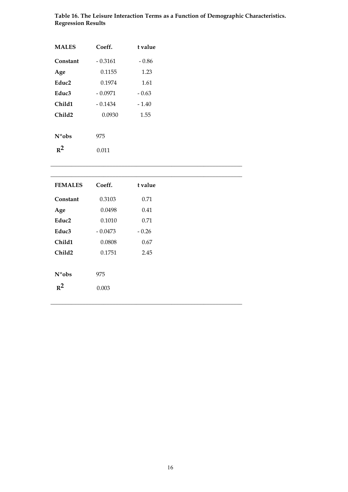| <b>MALES</b>    | Coeff.    | t value |
|-----------------|-----------|---------|
| Constant        | - 0.3161  | - 0.86  |
| Age             | 0.1155    | 1.23    |
| Educ2           | 0.1974    | 1.61    |
| Educ3           | - 0.0971  | $-0.63$ |
| Child1          | $-0.1434$ | $-1.40$ |
| Child2          | 0.0930    | 1.55    |
|                 |           |         |
| $N^{\circ}$ obs | 975       |         |
| $R^2$           | 0.011     |         |

| Table 16. The Leisure Interaction Terms as a Function of Demographic Characteristics. |  |
|---------------------------------------------------------------------------------------|--|
| <b>Regression Results</b>                                                             |  |

| <b>FEMALES</b>    | Coeff.    | t value |
|-------------------|-----------|---------|
| Constant          | 0.3103    | 0.71    |
| Age               | 0.0498    | 0.41    |
| Educ <sub>2</sub> | 0.1010    | 0.71    |
| Educ3             | $-0.0473$ | $-0.26$ |
| Child1            | 0.0808    | 0.67    |
| Child2            | 0.1751    | 2.45    |
|                   |           |         |
| N°obs             | 975       |         |
| $R^2$             | 0.003     |         |
|                   |           |         |

**\_\_\_\_\_\_\_\_\_\_\_\_\_\_\_\_\_\_\_\_\_\_\_\_\_\_\_\_\_\_\_\_\_\_\_\_\_\_\_\_\_\_\_\_\_\_\_\_\_\_\_\_\_\_\_\_\_\_\_\_\_\_\_\_\_**

**\_\_\_\_\_\_\_\_\_\_\_\_\_\_\_\_\_\_\_\_\_\_\_\_\_\_\_\_\_\_\_\_\_\_\_\_\_\_\_\_\_\_\_\_\_\_\_\_\_\_\_\_\_\_\_\_\_\_\_\_\_\_\_\_\_**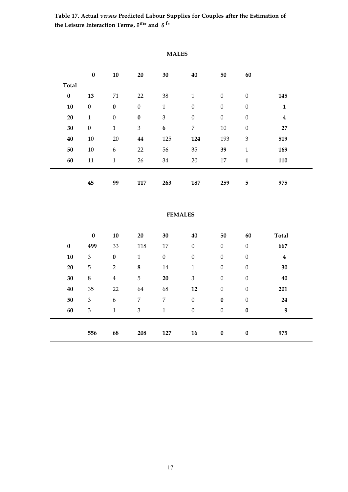**Table 17. Actual** *versus* **Predicted Labour Supplies for Couples after the Estimation of** the Leisure Interaction Terms,  $\delta^{\mathbf{m}*}$  and  $\delta^{\mathbf{f}*}$ 

|              | $\pmb{0}$        | 10               | 20               | 30               | 40               | 50               | 60               |                  |
|--------------|------------------|------------------|------------------|------------------|------------------|------------------|------------------|------------------|
| <b>Total</b> |                  |                  |                  |                  |                  |                  |                  |                  |
| $\pmb{0}$    | 13               | 71               | 22               | 38               | $\mathbf{1}$     | $\boldsymbol{0}$ | $\boldsymbol{0}$ | 145              |
| 10           | $\boldsymbol{0}$ | $\bf{0}$         | $\boldsymbol{0}$ | $\mathbf{1}$     | $\boldsymbol{0}$ | $\mathbf{0}$     | $\boldsymbol{0}$ | $\mathbf{1}$     |
| 20           | $\mathbf{1}$     | $\boldsymbol{0}$ | $\bf{0}$         | $\mathfrak{Z}$   | $\boldsymbol{0}$ | $\boldsymbol{0}$ | $\boldsymbol{0}$ | $\boldsymbol{4}$ |
| 30           | $\boldsymbol{0}$ | $\mathbf{1}$     | $\mathfrak{Z}$   | $\boldsymbol{6}$ | $\overline{7}$   | $10\,$           | $\boldsymbol{0}$ | 27               |
| 40           | $10\,$           | 20               | 44               | 125              | 124              | 193              | $\mathfrak{B}$   | 519              |
| 50           | $10\,$           | $\boldsymbol{6}$ | 22               | 56               | 35               | 39               | $\mathbf{1}$     | 169              |
| 60           | 11               | $\mathbf{1}$     | 26               | 34               | $20\,$           | 17               | $\mathbf{1}$     | 110              |
|              |                  |                  |                  |                  |                  |                  |                  |                  |
|              | 45               | 99               | 117              | 263              | 187              | 259              | 5                | 975              |

### **MALES**

## **FEMALES**

|            | $\bf{0}$       | 10               | 20             | 30               | 40               | 50               | 60               | <b>Total</b>     |
|------------|----------------|------------------|----------------|------------------|------------------|------------------|------------------|------------------|
| $\pmb{0}$  | 499            | 33               | 118            | 17               | $\boldsymbol{0}$ | $\boldsymbol{0}$ | $\boldsymbol{0}$ | 667              |
| ${\bf 10}$ | $\mathfrak{B}$ | $\pmb{0}$        | $\mathbf{1}$   | $\boldsymbol{0}$ | $\boldsymbol{0}$ | $\boldsymbol{0}$ | $\boldsymbol{0}$ | $\boldsymbol{4}$ |
| 20         | 5              | $\overline{2}$   | $\bf8$         | $14\,$           | 1                | $\boldsymbol{0}$ | $\boldsymbol{0}$ | 30               |
| $30\,$     | $\,$ 8 $\,$    | $\overline{4}$   | 5              | 20               | $\mathfrak{B}$   | $\boldsymbol{0}$ | $\boldsymbol{0}$ | 40               |
| 40         | 35             | 22               | 64             | 68               | 12               | $\boldsymbol{0}$ | $\boldsymbol{0}$ | 201              |
| 50         | 3              | $\boldsymbol{6}$ | $\overline{7}$ | $\overline{7}$   | $\boldsymbol{0}$ | $\bf{0}$         | $\boldsymbol{0}$ | 24               |
| 60         | 3              | $\mathbf{1}$     | $\mathfrak{Z}$ | $\mathbf{1}$     | $\boldsymbol{0}$ | $\boldsymbol{0}$ | $\bf{0}$         | 9                |
|            |                |                  |                |                  |                  |                  |                  |                  |
|            | 556            | 68               | 208            | 127              | 16               | $\bf{0}$         | $\bf{0}$         | 975              |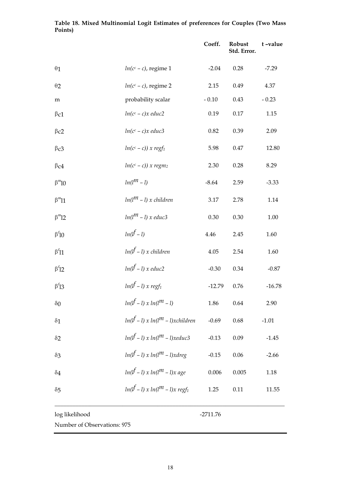|                                    |                                                | Coeff.     | Robust<br>Std. Error. | t-value  |
|------------------------------------|------------------------------------------------|------------|-----------------------|----------|
| $\theta$ 1                         | $ln(c^c - c)$ , regime 1                       | $-2.04$    | 0.28                  | $-7.29$  |
| $\theta$ 2                         | $ln(c^c - c)$ , regime 2                       | 2.15       | 0.49                  | 4.37     |
| m                                  | probability scalar                             | $-0.10$    | 0.43                  | $-0.23$  |
| $\beta$ c1                         | $ln(c^c - c)x$ educ2                           | 0.19       | 0.17                  | 1.15     |
| $\beta$ c2                         | $ln(c^c - c)x$ educ3                           | 0.82       | 0.39                  | 2.09     |
| $\beta$ c3                         | $ln(c^c - c))$ x regf <sub>1</sub>             | 5.98       | 0.47                  | 12.80    |
| $\beta$ c4                         | $ln(c^c - c))$ x regm <sub>2</sub>             | 2.30       | 0.28                  | 8.29     |
| $\beta^m 10$                       | $ln(l^m - l)$                                  | $-8.64$    | 2.59                  | $-3.33$  |
| $\beta^m\!l1$                      | $ln(l^m - l)$ x children                       | 3.17       | 2.78                  | 1.14     |
| $\beta^m$ 12                       | $ln(l^m - l)$ x educ3                          | 0.30       | 0.30                  | $1.00\,$ |
| $\beta^{f}10$                      | $ln(l^f - l)$                                  | 4.46       | 2.45                  | 1.60     |
| $\beta^{f}11$                      | $ln(l^f - l)$ x children                       | 4.05       | 2.54                  | 1.60     |
| $\beta^f$ 12                       | $ln(l^f - l)$ x educ2                          | $-0.30$    | 0.34                  | $-0.87$  |
| $\beta$ <sup>f</sup> <sub>13</sub> | $ln(l^f - l) \ge regf_1$                       | $-12.79$   | 0.76                  | $-16.78$ |
| $\delta 0$                         | $ln(l^f - l) \propto ln(l^m - l)$              | 1.86       | 0.64                  | 2.90     |
| $\delta 1$                         | $ln(l^f - l) \propto ln(l^m - l)$ xchildren    | $-0.69$    | 0.68                  | $-1.01$  |
| $\delta$ 2                         | $ln(l^f-1) \propto ln(l^m-1)$ xeduc3           | $-0.13$    | 0.09                  | $-1.45$  |
| $\delta$ 3                         | $ln(l^f - l) \propto ln(l^m - l)$ xdreg        | $-0.15$    | 0.06                  | $-2.66$  |
| $\delta$ 4                         | $ln(l^f - l) \times ln(l^m - l) \times age$    | 0.006      | 0.005                 | 1.18     |
| $\delta$ 5                         | $ln(l^f - l) \times ln(l^m - l) \times regf_1$ | 1.25       | 0.11                  | 11.55    |
| log likelihood                     |                                                | $-2711.76$ |                       |          |
| Number of Observations: 975        |                                                |            |                       |          |

# **Table 18. Mixed Multinomial Logit Estimates of preferences for Couples (Two Mass Points)**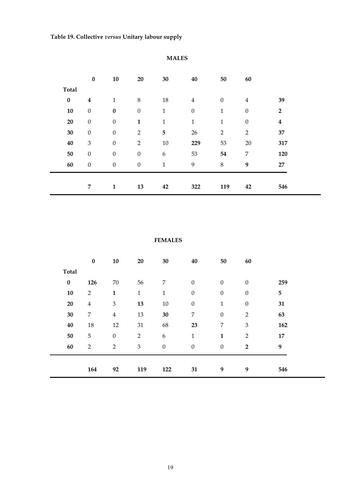|              | $\pmb{0}$                 | 10               | 20               | 30               | 40               | 50               | 60               |                  |  |
|--------------|---------------------------|------------------|------------------|------------------|------------------|------------------|------------------|------------------|--|
| <b>Total</b> |                           |                  |                  |                  |                  |                  |                  |                  |  |
| $\pmb{0}$    | $\boldsymbol{4}$          | $\mathbf{1}$     | 8                | $18\,$           | $\overline{4}$   | $\boldsymbol{0}$ | $\overline{4}$   | 39               |  |
| 10           | $\boldsymbol{0}$          | $\pmb{0}$        | $\boldsymbol{0}$ | $\mathbf{1}$     | $\boldsymbol{0}$ | $\mathbf{1}$     | $\boldsymbol{0}$ | $\overline{2}$   |  |
| 20           | $\boldsymbol{0}$          | $\boldsymbol{0}$ | $\mathbf{1}$     | $\mathbf{1}$     | $\mathbf 1$      | $\mathbf{1}$     | $\boldsymbol{0}$ | $\boldsymbol{4}$ |  |
| 30           | $\boldsymbol{0}$          | $\boldsymbol{0}$ | $\overline{2}$   | 5                | 26               | $\overline{2}$   | $\overline{2}$   | 37               |  |
| 40           | $\ensuremath{\mathbf{3}}$ | $\boldsymbol{0}$ | $\overline{2}$   | $10\,$           | 229              | 53               | 20               | 317              |  |
| 50           | $\boldsymbol{0}$          | $\boldsymbol{0}$ | $\boldsymbol{0}$ | $\boldsymbol{6}$ | 53               | 54               | $\overline{7}$   | 120              |  |
| 60           | $\boldsymbol{0}$          | $\boldsymbol{0}$ | $\boldsymbol{0}$ | $\mathbf{1}$     | 9                | $\,8\,$          | $\boldsymbol{9}$ | 27               |  |
|              |                           |                  |                  |                  |                  |                  |                  |                  |  |
|              | $\overline{7}$            | $\mathbf{1}$     | 13               | 42               | 322              | 119              | 42               | 546              |  |

# **MALES**

#### **FEMALES**

|              | $\pmb{0}$        | 10                          | 20             | 30               | 40               | 50               | 60               |     |
|--------------|------------------|-----------------------------|----------------|------------------|------------------|------------------|------------------|-----|
| <b>Total</b> |                  |                             |                |                  |                  |                  |                  |     |
| $\pmb{0}$    | 126              | 70                          | 56             | 7                | $\boldsymbol{0}$ | $\boldsymbol{0}$ | $\boldsymbol{0}$ | 259 |
| 10           | $\sqrt{2}$       | $\mathbf{1}$                | $\mathbf{1}$   | 1                | $\boldsymbol{0}$ | $\boldsymbol{0}$ | $\boldsymbol{0}$ | 5   |
| 20           | $\bf 4$          | $\ensuremath{\mathfrak{Z}}$ | 13             | $10\,$           | $\boldsymbol{0}$ | $\mathbf{1}$     | $\boldsymbol{0}$ | 31  |
| $30\,$       | $\boldsymbol{7}$ | $\overline{4}$              | 13             | $30\,$           | 7                | $\boldsymbol{0}$ | $\overline{2}$   | 63  |
| 40           | 18               | 12                          | 31             | 68               | 23               | 7                | 3                | 162 |
| 50           | $\mathbf 5$      | $\boldsymbol{0}$            | $\overline{2}$ | 6                | $\mathbf{1}$     | $\mathbf{1}$     | $\overline{2}$   | 17  |
| 60           | $\overline{2}$   | $\overline{2}$              | 3              | $\boldsymbol{0}$ | $\boldsymbol{0}$ | $\boldsymbol{0}$ | $\overline{2}$   | 9   |
|              |                  |                             |                |                  |                  |                  |                  |     |
|              | 164              | 92                          | 119            | 122              | 31               | 9                | 9                | 546 |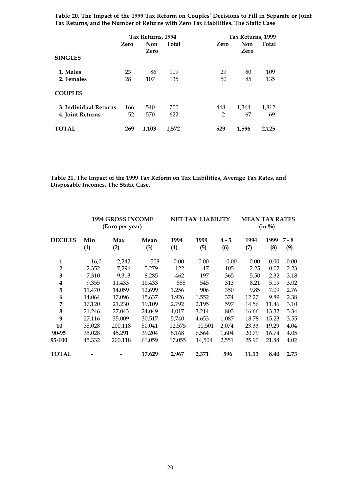**Table 20. The Impact of the 1999 Tax Reform on Couples' Decisions to Fill in Separate or Joint Tax Returns, and the Number of Returns with Zero Tax Liabilities. The Static Case** 

|                       |      | Tax Returns, 1994 |              |                | Tax Returns, 1999 |       |  |  |  |
|-----------------------|------|-------------------|--------------|----------------|-------------------|-------|--|--|--|
|                       | Zero | Non               | <b>Total</b> | Zero           | <b>Non</b>        | Total |  |  |  |
|                       |      | Zero              |              |                | Zero              |       |  |  |  |
| <b>SINGLES</b>        |      |                   |              |                |                   |       |  |  |  |
| 1. Males              | 23   | 86                | 109          | 29             | 80                | 109   |  |  |  |
| 2. Females            | 28   | 107               | 135          | 50             | 85                | 135   |  |  |  |
| <b>COUPLES</b>        |      |                   |              |                |                   |       |  |  |  |
| 3. Individual Returns | 166  | 540               | 700          | 448            | 1,364             | 1,812 |  |  |  |
| 4. Joint Returns      | 52   | 570               | 622          | $\overline{2}$ | 67                | 69    |  |  |  |
| <b>TOTAL</b>          | 269  | 1,103             | 1,572        | 529            | 1,596             | 2,125 |  |  |  |

**Table 21. The Impact of the 1999 Tax Reform on Tax Liabilities, Average Tax Rates, and Disposable Incomes. The Static Case.** 

|                |            | <b>1994 GROSS INCOME</b><br>(Euro per year) |             |             | <b>NET TAX LIABILITY</b> |                | <b>MEAN TAX RATES</b><br>$(in \frac{0}{0})$ |             |                |
|----------------|------------|---------------------------------------------|-------------|-------------|--------------------------|----------------|---------------------------------------------|-------------|----------------|
| <b>DECILES</b> | Min<br>(1) | Max<br>(2)                                  | Mean<br>(3) | 1994<br>(4) | 1999<br>(5)              | $4 - 5$<br>(6) | 1994<br>(7)                                 | 1999<br>(8) | $7 - 8$<br>(9) |
| 1              | 16,0       | 2,242                                       | 508         | 0.00        | 0.00                     | 0.00           | 0.00                                        | 0.00        | 0.00           |
| $\overline{2}$ | 2,352      | 7,296                                       | 5,279       | 122         | 17                       | 105            | 2.25                                        | 0.02        | 2.23           |
| 3              | 7.310      | 9.313                                       | 8,285       | 462         | 197                      | 365            | 5.50                                        | 2.32        | 3.18           |
| 4              | 9.355      | 11.433                                      | 10.433      | 858         | 545                      | 313            | 8.21                                        | 5.19        | 3.02           |
| 5              | 11,470     | 14,059                                      | 12,699      | 1,256       | 906                      | 350            | 9.85                                        | 7.09        | 2.76           |
| 6              | 14,064     | 17,096                                      | 15,637      | 1,926       | 1,552                    | 374            | 12.27                                       | 9.89        | 2.38           |
| 7              | 17,120     | 21,230                                      | 19.109      | 2,792       | 2,195                    | 597            | 14.56                                       | 11.46       | 3.10           |
| 8              | 21,246     | 27,043                                      | 24,049      | 4,017       | 3,214                    | 803            | 16.66                                       | 13.32       | 3.34           |
| 9              | 27,116     | 35,009                                      | 30,517      | 5,740       | 4,653                    | 1,087          | 18.78                                       | 15.23       | 3.55           |
| 10             | 35,028     | 200,118                                     | 50,041      | 12,575      | 10,501                   | 2,074          | 23.33                                       | 19.29       | 4.04           |
| 90-95          | 35,028     | 45,291                                      | 39,204      | 8,168       | 6,564                    | 1,604          | 20.79                                       | 16.74       | 4.05           |
| 95-100         | 45,332     | 200,118                                     | 61,059      | 17,055      | 14,504                   | 2,551          | 25.90                                       | 21.88       | 4.02           |
| <b>TOTAL</b>   |            |                                             | 17,629      | 2,967       | 2,371                    | 596            | 11.13                                       | 8.40        | 2.73           |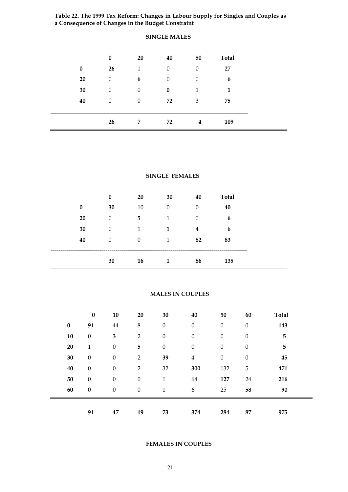**Table 22. The 1999 Tax Reform: Changes in Labour Supply for Singles and Couples as a Consequence of Changes in the Budget Constraint** 

|          | $\bf{0}$         | 20           | 40               | 50       | <b>Total</b> |
|----------|------------------|--------------|------------------|----------|--------------|
| $\bf{0}$ | 26               | $\mathbf{1}$ | $\boldsymbol{0}$ | $\theta$ | 27           |
| 20       | $\boldsymbol{0}$ | 6            | $\boldsymbol{0}$ | $\theta$ | 6            |
| 30       | $\theta$         | $\theta$     | $\bf{0}$         | 1        | 1            |
| 40       | $\theta$         | $\theta$     | 72               | 3        | 75           |
|          |                  |              |                  |          |              |
|          | 26               | 7            | 72               | 4        | 109          |

# **SINGLE MALES**

#### **SINGLE FEMALES**

|      |           | $\bf{0}$ | 20       | 30               | 40               | <b>Total</b>        |
|------|-----------|----------|----------|------------------|------------------|---------------------|
|      | $\bf{0}$  | 30       | 10       | $\boldsymbol{0}$ | $\boldsymbol{0}$ | 40                  |
|      | <b>20</b> | $\theta$ | 5        | 1                | $\theta$         | 6                   |
|      | 30        | $\theta$ | 1        | 1                | 4                | 6                   |
|      | 40        | $\theta$ | $\Omega$ | 1                | 82               | 83                  |
| ____ |           |          |          |                  |                  | ------------------- |
|      |           | 30       | 16       | 1                | 86               | 135                 |

#### **MALES IN COUPLES**

|          | $\pmb{0}$        | 10               | 20               | 30               | 40               | 50               | 60               | <b>Total</b>   |
|----------|------------------|------------------|------------------|------------------|------------------|------------------|------------------|----------------|
| $\bf{0}$ | 91               | $44\,$           | $\,8\,$          | $\boldsymbol{0}$ | $\boldsymbol{0}$ | $\boldsymbol{0}$ | $\boldsymbol{0}$ | 143            |
| 10       | $\boldsymbol{0}$ | $\mathbf{3}$     | $\overline{2}$   | $\boldsymbol{0}$ | $\boldsymbol{0}$ | $\boldsymbol{0}$ | $\boldsymbol{0}$ | $\overline{5}$ |
| 20       | 1                | $\boldsymbol{0}$ | 5                | $\boldsymbol{0}$ | $\boldsymbol{0}$ | $\boldsymbol{0}$ | $\boldsymbol{0}$ | 5              |
| 30       | $\boldsymbol{0}$ | $\boldsymbol{0}$ | $\overline{2}$   | 39               | $\overline{4}$   | $\boldsymbol{0}$ | $\boldsymbol{0}$ | 45             |
| 40       | $\boldsymbol{0}$ | $\boldsymbol{0}$ | $\overline{2}$   | 32               | 300              | 132              | 5                | 471            |
| 50       | $\boldsymbol{0}$ | $\boldsymbol{0}$ | $\boldsymbol{0}$ | $\mathbf{1}$     | 64               | 127              | 24               | 216            |
| 60       | $\boldsymbol{0}$ | $\boldsymbol{0}$ | $\boldsymbol{0}$ | $\mathbf{1}$     | 6                | 25               | 58               | 90             |
|          |                  |                  |                  |                  |                  |                  |                  |                |
|          | 91               | 47               | 19               | 73               | 374              | 284              | 87               | 975            |

#### **FEMALES IN COUPLES**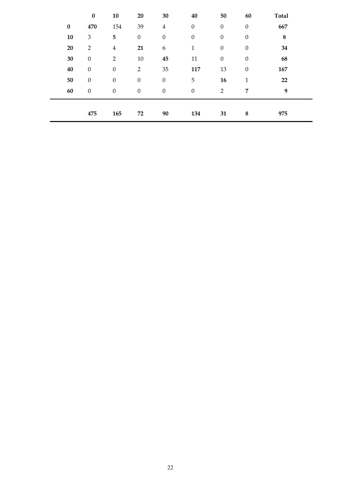|           | $\pmb{0}$        | 10               | 20               | 30               | 40               | 50               | 60               | <b>Total</b> |
|-----------|------------------|------------------|------------------|------------------|------------------|------------------|------------------|--------------|
| $\pmb{0}$ | 470              | 154              | 39               | $\overline{4}$   | $\boldsymbol{0}$ | $\boldsymbol{0}$ | $\boldsymbol{0}$ | 667          |
| 10        | $\mathfrak{Z}$   | 5                | $\boldsymbol{0}$ | $\boldsymbol{0}$ | $\boldsymbol{0}$ | $\boldsymbol{0}$ | $\boldsymbol{0}$ | $\bf 8$      |
| 20        | $\overline{2}$   | $\overline{4}$   | 21               | $\boldsymbol{6}$ | $\mathbf{1}$     | $\boldsymbol{0}$ | $\boldsymbol{0}$ | 34           |
| $30\,$    | $\boldsymbol{0}$ | $\overline{2}$   | $10\,$           | 45               | 11               | $\boldsymbol{0}$ | $\boldsymbol{0}$ | 68           |
| 40        | $\boldsymbol{0}$ | $\boldsymbol{0}$ | $\overline{2}$   | 35               | 117              | 13               | $\boldsymbol{0}$ | 167          |
| 50        | $\boldsymbol{0}$ | $\boldsymbol{0}$ | $\boldsymbol{0}$ | $\boldsymbol{0}$ | 5                | 16               | $\mathbf{1}$     | 22           |
| 60        | $\boldsymbol{0}$ | $\boldsymbol{0}$ | $\boldsymbol{0}$ | $\boldsymbol{0}$ | $\boldsymbol{0}$ | $\overline{2}$   | 7                | 9            |
|           | 475              | 165              | 72               | 90               | 134              | 31               | 8                | 975          |
|           |                  |                  |                  |                  |                  |                  |                  |              |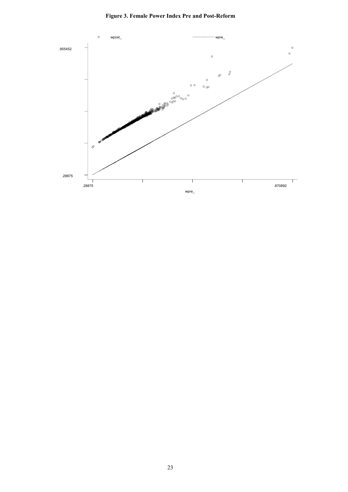

#### **Figure 3. Female Power Index Pre and Post-Reform**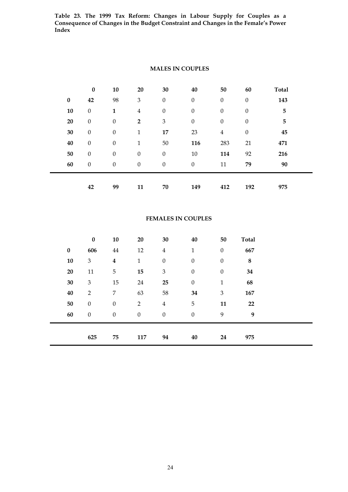**Table 23. The 1999 Tax Reform: Changes in Labour Supply for Couples as a Consequence of Changes in the Budget Constraint and Changes in the Female's Power Index** 

|           | $\pmb{0}$        | 10               | 20               | 30               | 40               | 50               | 60               | <b>Total</b> |
|-----------|------------------|------------------|------------------|------------------|------------------|------------------|------------------|--------------|
| $\pmb{0}$ | 42               | 98               | $\mathfrak{Z}$   | $\boldsymbol{0}$ | $\boldsymbol{0}$ | $\boldsymbol{0}$ | $\boldsymbol{0}$ | 143          |
| 10        | $\boldsymbol{0}$ | $\mathbf{1}$     | $\overline{4}$   | $\boldsymbol{0}$ | $\boldsymbol{0}$ | $\boldsymbol{0}$ | $\boldsymbol{0}$ | 5            |
| 20        | $\boldsymbol{0}$ | $\boldsymbol{0}$ | $\overline{2}$   | 3                | $\boldsymbol{0}$ | $\boldsymbol{0}$ | $\boldsymbol{0}$ | 5            |
| 30        | $\boldsymbol{0}$ | $\boldsymbol{0}$ | $\mathbf{1}$     | 17               | 23               | $\overline{4}$   | $\boldsymbol{0}$ | 45           |
| 40        | $\boldsymbol{0}$ | $\boldsymbol{0}$ | $\mathbf{1}$     | 50               | 116              | 283              | 21               | 471          |
| 50        | $\boldsymbol{0}$ | $\boldsymbol{0}$ | $\boldsymbol{0}$ | $\boldsymbol{0}$ | 10               | 114              | 92               | 216          |
| 60        | $\boldsymbol{0}$ | $\boldsymbol{0}$ | $\boldsymbol{0}$ | $\boldsymbol{0}$ | $\boldsymbol{0}$ | 11               | 79               | 90           |
|           |                  |                  |                  |                  |                  |                  |                  |              |
|           | 42               | 99               | 11               | 70               | 149              | 412              | 192              | 975          |

# **MALES IN COUPLES**

#### **FEMALES IN COUPLES**

|            | $\pmb{0}$                   | 10               | 20               | 30                          | 40               | 50               | <b>Total</b> |  |
|------------|-----------------------------|------------------|------------------|-----------------------------|------------------|------------------|--------------|--|
| $\bf{0}$   | 606                         | $\bf 44$         | 12               | $\overline{4}$              | $\mathbf{1}$     | $\boldsymbol{0}$ | 667          |  |
| ${\bf 10}$ | 3                           | $\boldsymbol{4}$ | $\mathbf{1}$     | $\boldsymbol{0}$            | $\boldsymbol{0}$ | $\boldsymbol{0}$ | 8            |  |
| 20         | $11\,$                      | $\mathbf 5$      | 15               | $\ensuremath{\mathfrak{Z}}$ | $\boldsymbol{0}$ | $\boldsymbol{0}$ | 34           |  |
| 30         | $\ensuremath{\mathfrak{Z}}$ | 15               | 24               | 25                          | $\boldsymbol{0}$ | $\mathbf{1}$     | 68           |  |
| 40         | $\overline{2}$              | $\overline{7}$   | 63               | 58                          | 34               | $\mathfrak{Z}$   | 167          |  |
| 50         | $\boldsymbol{0}$            | $\boldsymbol{0}$ | $\overline{2}$   | $\bf 4$                     | 5                | 11               | 22           |  |
| 60         | $\boldsymbol{0}$            | $\boldsymbol{0}$ | $\boldsymbol{0}$ | $\boldsymbol{0}$            | $\boldsymbol{0}$ | 9                | 9            |  |
|            |                             |                  |                  |                             |                  |                  |              |  |
|            | 625                         | 75               | 117              | 94                          | 40               | 24               | 975          |  |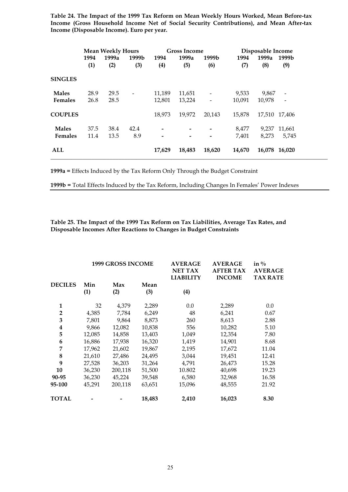**Table 24. The Impact of the 1999 Tax Reform on Mean Weekly Hours Worked, Mean Before-tax Income (Gross Household Income Net of Social Security Contributions), and Mean After-tax Income (Disposable Income). Euro per year.** 

|                | <b>Mean Weekly Hours</b> |       |                              |        | <b>Gross Income</b> |                   | Disposable Income |        |                          |
|----------------|--------------------------|-------|------------------------------|--------|---------------------|-------------------|-------------------|--------|--------------------------|
|                | 1994                     | 1999a | 1999b                        | 1994   | 1999a               | 1999b             | 1994              | 1999a  | 1999b                    |
|                | (1)                      | (2)   | (3)                          | (4)    | (5)                 | (6)               | (7)               | (8)    | (9)                      |
| <b>SINGLES</b> |                          |       |                              |        |                     |                   |                   |        |                          |
| <b>Males</b>   | 28.9                     | 29.5  | $\qquad \qquad \blacksquare$ | 11,189 | 11,651              |                   | 9,533             | 9,867  |                          |
| <b>Females</b> | 26.8                     | 28.5  |                              | 12,801 | 13,224              | $\qquad \qquad -$ | 10,091            | 10,978 | $\overline{\phantom{a}}$ |
| <b>COUPLES</b> |                          |       |                              | 18,973 | 19,972              | 20,143            | 15,878            |        | 17,510 17,406            |
| <b>Males</b>   | 37.5                     | 38.4  | 42.4                         |        |                     |                   | 8,477             | 9.237  | 11,661                   |
| Females        | 11.4                     | 13.5  | 8.9                          | -      |                     |                   | 7,401             | 8,273  | 5,745                    |
| ALL            |                          |       |                              | 17,629 | 18,483              | 18,620            | 14,670            |        | 16,078 16,020            |

**1999a =** Effects Induced by the Tax Reform Only Through the Budget Constraint

**1999b =** Total Effects Induced by the Tax Reform, Including Changes In Females' Power Indexes

**Table 25. The Impact of the 1999 Tax Reform on Tax Liabilities, Average Tax Rates, and Disposable Incomes After Reactions to Changes in Budget Constraints** 

|                |            | <b>1999 GROSS INCOME</b> |             | <b>AVERAGE</b><br><b>NET TAX</b><br><b>LIABILITY</b> | <b>AVERAGE</b><br><b>AFTER TAX</b><br><b>INCOME</b> | in $\%$<br><b>AVERAGE</b><br><b>TAX RATE</b> |  |
|----------------|------------|--------------------------|-------------|------------------------------------------------------|-----------------------------------------------------|----------------------------------------------|--|
| <b>DECILES</b> | Min<br>(1) | Max<br>(2)               | Mean<br>(3) | (4)                                                  |                                                     |                                              |  |
| 1              | 32         | 4,379                    | 2,289       | $0.0\,$                                              | 2,289                                               | 0.0                                          |  |
| $\overline{2}$ | 4,385      | 7,784                    | 6,249       | 48                                                   | 6,241                                               | 0.67                                         |  |
| 3              | 7,801      | 9,864                    | 8,873       | 260                                                  | 8,613                                               | 2.88                                         |  |
| 4              | 9,866      | 12,082                   | 10,838      | 556                                                  | 10,282                                              | 5.10                                         |  |
| 5              | 12,085     | 14,858                   | 13,403      | 1,049                                                | 12,354                                              | 7.80                                         |  |
| 6              | 16,886     | 17,938                   | 16,320      | 1,419                                                | 14.901                                              | 8.68                                         |  |
| 7              | 17,962     | 21,602                   | 19,867      | 2,195                                                | 17,672                                              | 11.04                                        |  |
| 8              | 21,610     | 27,486                   | 24,495      | 3,044                                                | 19,451                                              | 12.41                                        |  |
| 9              | 27,528     | 36,203                   | 31,264      | 4,791                                                | 26,473                                              | 15.28                                        |  |
| 10             | 36,230     | 200,118                  | 51,500      | 10.802                                               | 40,698                                              | 19.23                                        |  |
| 90-95          | 36,230     | 45,224                   | 39,548      | 6,580                                                | 32,968                                              | 16.58                                        |  |
| 95-100         | 45,291     | 200,118                  | 63,651      | 15,096                                               | 48,555                                              | 21.92                                        |  |
| <b>TOTAL</b>   |            |                          | 18,483      | 2,410                                                | 16,023                                              | 8.30                                         |  |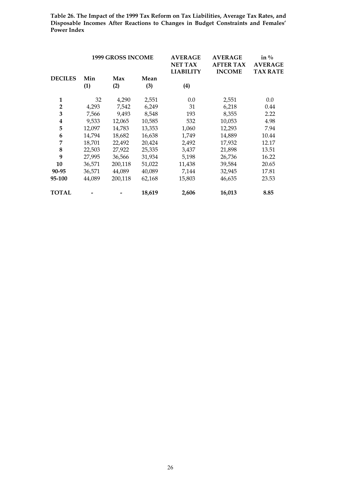**Table 26. The Impact of the 1999 Tax Reform on Tax Liabilities, Average Tax Rates, and Disposable Incomes After Reactions to Changes in Budget Constraints and Females' Power Index**

|                |            | <b>1999 GROSS INCOME</b> |             | <b>AVERAGE</b><br><b>NET TAX</b><br><b>LIABILITY</b> | <b>AVERAGE</b><br><b>AFTER TAX</b><br><b>INCOME</b> | in $\%$<br><b>AVERAGE</b><br><b>TAX RATE</b> |
|----------------|------------|--------------------------|-------------|------------------------------------------------------|-----------------------------------------------------|----------------------------------------------|
| <b>DECILES</b> | Min<br>(1) | Max<br>(2)               | Mean<br>(3) | (4)                                                  |                                                     |                                              |
| 1              | 32         | 4,290                    | 2,551       | 0.0                                                  | 2,551                                               | 0.0                                          |
| $\overline{2}$ | 4,293      | 7,542                    | 6,249       | 31                                                   | 6,218                                               | 0.44                                         |
| 3              | 7,566      | 9,493                    | 8,548       | 193                                                  | 8,355                                               | 2.22                                         |
| 4              | 9,533      | 12,065                   | 10,585      | 532                                                  | 10,053                                              | 4.98                                         |
| 5              | 12,097     | 14,783                   | 13,353      | 1,060                                                | 12,293                                              | 7.94                                         |
| 6              | 14.794     | 18,682                   | 16,638      | 1,749                                                | 14,889                                              | 10.44                                        |
| 7              | 18,701     | 22,492                   | 20,424      | 2,492                                                | 17,932                                              | 12.17                                        |
| 8              | 22,503     | 27,922                   | 25,335      | 3,437                                                | 21,898                                              | 13.51                                        |
| 9              | 27,995     | 36,566                   | 31,934      | 5,198                                                | 26,736                                              | 16.22                                        |
| 10             | 36,571     | 200,118                  | 51,022      | 11,438                                               | 39,584                                              | 20.65                                        |
| 90-95          | 36,571     | 44,089                   | 40,089      | 7,144                                                | 32,945                                              | 17.81                                        |
| 95-100         | 44,089     | 200,118                  | 62,168      | 15,803                                               | 46,635                                              | 23.53                                        |
| <b>TOTAL</b>   |            |                          | 18,619      | 2,606                                                | 16,013                                              | 8.85                                         |